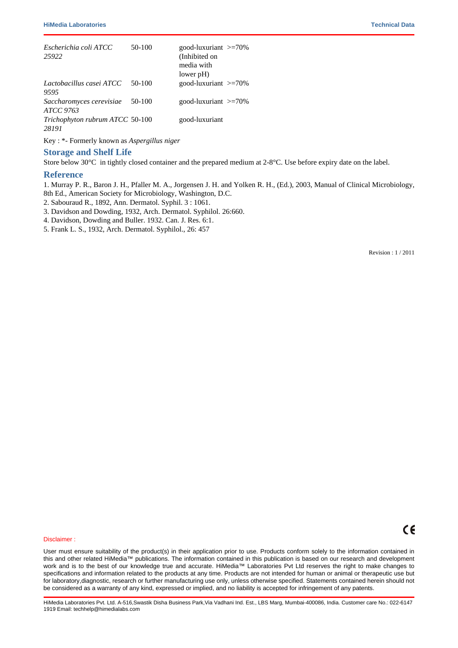## **Quality Control**

# **Appearance**

Cream to yellow homogeneous free flowing powder

#### **Gelling**

Firm, comparable with 1.5% Agar gel

# **Colour and Clarity of prepared medium**

Light amber coloured clear to slightly opalescent gel forms in Petri plates

#### **Reaction**

Reaction of 6.5% w/v aqueous solution at 25°C. pH : 5.6±0.2

# **pH**

5.40-5.80

#### **Cultural Response**

Cultural characteristics observed after an incubation at 25 - 30°C for 48 - 72 hours.(Incubate Trichophyton species for for upto 7 days)

| <b>Organism</b>                          | Inoculum<br>(CFU) | Growth                                                                 | <b>Recovery</b> |
|------------------------------------------|-------------------|------------------------------------------------------------------------|-----------------|
| Aspergillus brasiliensis<br>ATCC 16404   | 50-100            | good-luxuriant                                                         |                 |
| Candida albicans ATCC<br>10231           | 50-100            | good-luxuriant $\geq$ =70%                                             |                 |
| Escherichia coli ATCC<br>25922           | $50-100$          | good-luxuriant $\geq$ =70%<br>(Inhibited on<br>media with<br>lower pH) |                 |
| Lactobacillus casei ATCC<br>9595         | $50-100$          | good-luxuriant $\geq 70\%$                                             |                 |
| Saccharomyces cerevisiae<br>ATCC 9763    | 50-100            | good-luxuriant $\geq 70\%$                                             |                 |
| Trichophyton rubrum ATCC 50-100<br>28191 |                   | good-luxuriant                                                         |                 |

# Key :

#- Formerly known as *Aspergillus niger*